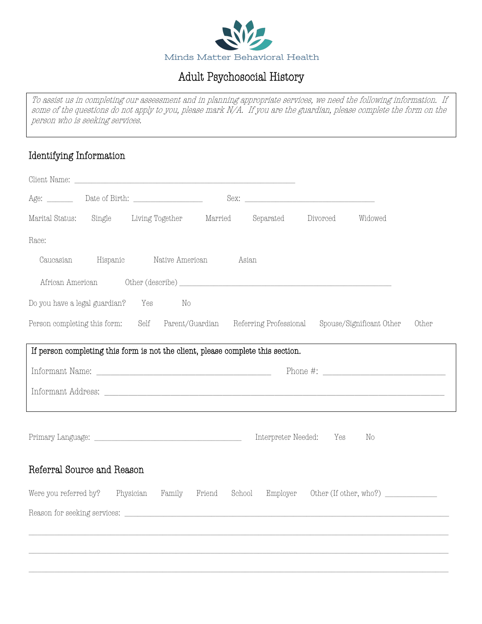

### Adult Psychosocial History

 $\overline{a}$  $\ddot{a}$  $\ddot{\phantom{0}}$ ı To assist us in completing our assessment and in planning appropriate services, we need the following information. If some of the questions do not apply to you, please mark N/A. If you are the guardian, please complete the form on the person who is seeking services.

### Identifying Information

| Marital Status:<br>Single Living Together Married<br>Separated<br>Divorced<br>Widowed                                                                                                                                                                                                                                                                                                                                                                                                                                                                                                                                                                                                                                                                                                                                                                                                  |
|----------------------------------------------------------------------------------------------------------------------------------------------------------------------------------------------------------------------------------------------------------------------------------------------------------------------------------------------------------------------------------------------------------------------------------------------------------------------------------------------------------------------------------------------------------------------------------------------------------------------------------------------------------------------------------------------------------------------------------------------------------------------------------------------------------------------------------------------------------------------------------------|
| Race:                                                                                                                                                                                                                                                                                                                                                                                                                                                                                                                                                                                                                                                                                                                                                                                                                                                                                  |
| Hispanic<br>Caucasian<br>Native American<br>Asian                                                                                                                                                                                                                                                                                                                                                                                                                                                                                                                                                                                                                                                                                                                                                                                                                                      |
|                                                                                                                                                                                                                                                                                                                                                                                                                                                                                                                                                                                                                                                                                                                                                                                                                                                                                        |
| Do you have a legal guardian? Yes<br>No                                                                                                                                                                                                                                                                                                                                                                                                                                                                                                                                                                                                                                                                                                                                                                                                                                                |
| Person completing this form: Self Parent/Guardian Referring Professional Spouse/Significant Other<br>Other                                                                                                                                                                                                                                                                                                                                                                                                                                                                                                                                                                                                                                                                                                                                                                             |
| If person completing this form is not the client, please complete this section.                                                                                                                                                                                                                                                                                                                                                                                                                                                                                                                                                                                                                                                                                                                                                                                                        |
| $\begin{minipage}{.4\linewidth} \textbf{Information Name:} \end{minipage} \vspace{0.05in} \begin{minipage}{.45\linewidth} \textbf{Information System} \end{minipage} \vspace{0.05in} \begin{minipage}{.45\linewidth} \textbf{Comparison of the image.} \end{minipage} \vspace{0.05in} \begin{minipage}{.45\linewidth} \textbf{Comparison of the image.} \end{minipage} \vspace{0.05in} \begin{minipage}{.45\linewidth} \textbf{Comparison of the image.} \end{minipage} \vspace{0.05in} \begin{minipage}{.45\linewidth} \textbf{Comparison of the image.} \end{$<br>Phone #: $\frac{1}{2}$ $\frac{1}{2}$ $\frac{1}{2}$ $\frac{1}{2}$ $\frac{1}{2}$ $\frac{1}{2}$ $\frac{1}{2}$ $\frac{1}{2}$ $\frac{1}{2}$ $\frac{1}{2}$ $\frac{1}{2}$ $\frac{1}{2}$ $\frac{1}{2}$ $\frac{1}{2}$ $\frac{1}{2}$ $\frac{1}{2}$ $\frac{1}{2}$ $\frac{1}{2}$ $\frac{1}{2}$ $\frac{1}{2}$ $\frac{1}{2}$ $\$ |
|                                                                                                                                                                                                                                                                                                                                                                                                                                                                                                                                                                                                                                                                                                                                                                                                                                                                                        |
|                                                                                                                                                                                                                                                                                                                                                                                                                                                                                                                                                                                                                                                                                                                                                                                                                                                                                        |
| Interpreter Needed:<br>Yes<br>No                                                                                                                                                                                                                                                                                                                                                                                                                                                                                                                                                                                                                                                                                                                                                                                                                                                       |
| Referral Source and Reason                                                                                                                                                                                                                                                                                                                                                                                                                                                                                                                                                                                                                                                                                                                                                                                                                                                             |
| Were you referred by? Physician<br>Family Friend<br>School<br>Employer                                                                                                                                                                                                                                                                                                                                                                                                                                                                                                                                                                                                                                                                                                                                                                                                                 |
|                                                                                                                                                                                                                                                                                                                                                                                                                                                                                                                                                                                                                                                                                                                                                                                                                                                                                        |
|                                                                                                                                                                                                                                                                                                                                                                                                                                                                                                                                                                                                                                                                                                                                                                                                                                                                                        |
|                                                                                                                                                                                                                                                                                                                                                                                                                                                                                                                                                                                                                                                                                                                                                                                                                                                                                        |
|                                                                                                                                                                                                                                                                                                                                                                                                                                                                                                                                                                                                                                                                                                                                                                                                                                                                                        |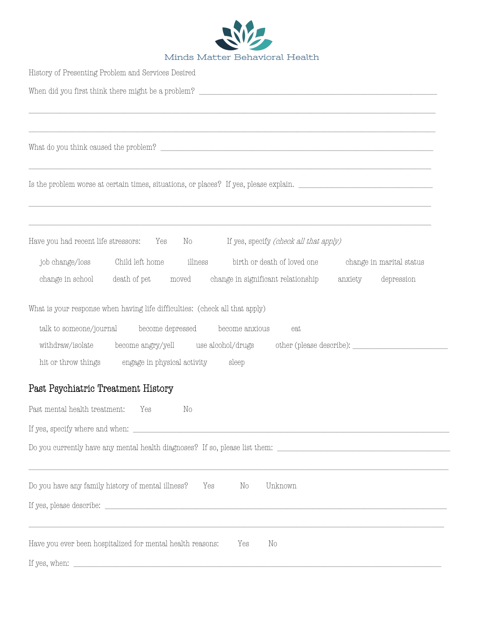

| History of Presenting Problem and Services Desired                                                             |
|----------------------------------------------------------------------------------------------------------------|
|                                                                                                                |
|                                                                                                                |
|                                                                                                                |
|                                                                                                                |
|                                                                                                                |
|                                                                                                                |
|                                                                                                                |
| Have you had recent life stressors: Yes No If yes, specify (check all that apply)                              |
| birth or death of loved one<br>change in marital status                                                        |
| change in school death of pet moved change in significant relationship<br>anxiety<br>depression                |
| What is your response when having life difficulties: (check all that apply)                                    |
| talk to someone/journal become depressed become anxious<br>eat                                                 |
| withdraw/isolate become angry/yell use alcohol/drugs other (please describe): _____________________            |
| engage in physical activity sleep<br>hit or throw things                                                       |
| Past Psychiatric Treatment History                                                                             |
| Past mental health treatment:<br>Yes<br>$\rm No$                                                               |
|                                                                                                                |
| Do you currently have any mental health diagnoses? If so, please list them: __________________________________ |
|                                                                                                                |
| Do you have any family history of mental illness?<br>Unknown<br>Yes<br>No                                      |
|                                                                                                                |
|                                                                                                                |
| Have you ever been hospitalized for mental health reasons:<br>Yes<br>No                                        |
|                                                                                                                |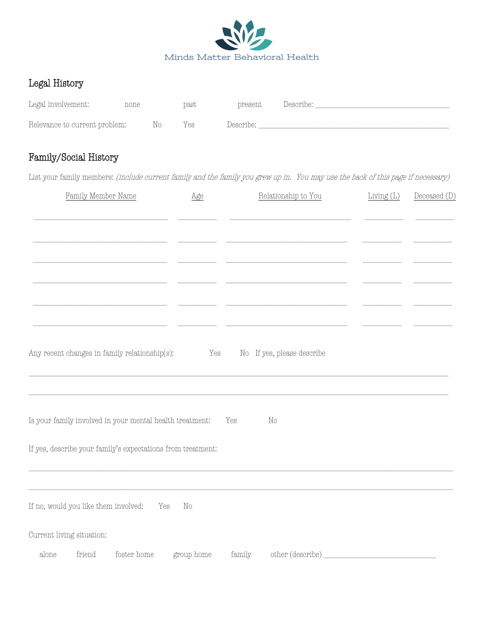

### Legal History

| Legal involvement:            | none |     | past | present   | Describe: |  |
|-------------------------------|------|-----|------|-----------|-----------|--|
| Relevance to current problem: |      | No. | Yes  | Describe: |           |  |

### Family/Social History

List your family members: (include current family and the family you grew up in. You may use the back of this page if necessary)

| Family Member Name                                          | Age        |        | Relationship to You        | Living $(L)$ | Deceased (D) |
|-------------------------------------------------------------|------------|--------|----------------------------|--------------|--------------|
|                                                             |            |        |                            |              |              |
|                                                             |            |        |                            |              |              |
|                                                             |            |        |                            |              |              |
|                                                             |            |        |                            |              |              |
|                                                             |            |        |                            |              |              |
| Any recent changes in family relationship(s):               | Yes        |        | No If yes, please describe |              |              |
|                                                             |            |        |                            |              |              |
| Is your family involved in your mental health treatment:    |            | Yes    | No                         |              |              |
| If yes, describe your family's expectations from treatment: |            |        |                            |              |              |
|                                                             |            |        |                            |              |              |
| If no, would you like them involved:<br>Yes                 | $\rm No$   |        |                            |              |              |
| Current living situation:                                   |            |        |                            |              |              |
| foster home<br>alone<br>friend                              | group home | family | other (describe)           |              |              |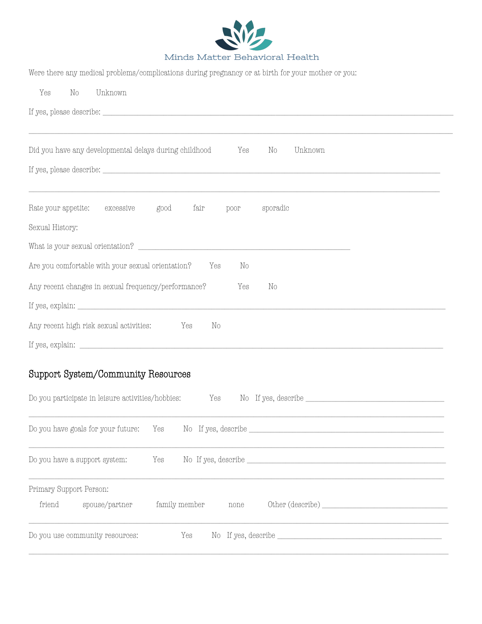

| Were there any medical problems/complications during pregnancy or at birth for your mother or you:                                                                                                                                                                     |
|------------------------------------------------------------------------------------------------------------------------------------------------------------------------------------------------------------------------------------------------------------------------|
| Unknown<br>Yes<br>No                                                                                                                                                                                                                                                   |
|                                                                                                                                                                                                                                                                        |
| ,我们也不能会有什么。""我们的人,我们也不能会有什么?""我们的人,我们也不能会有什么?""我们的人,我们也不能会有什么?""我们的人,我们也不能会有什么?""                                                                                                                                                                                      |
| Did you have any developmental delays during childhood Yes<br>No<br>Unknown                                                                                                                                                                                            |
|                                                                                                                                                                                                                                                                        |
|                                                                                                                                                                                                                                                                        |
| Rate your appetite: excessive good fair poor sporadic                                                                                                                                                                                                                  |
| Sexual History:                                                                                                                                                                                                                                                        |
|                                                                                                                                                                                                                                                                        |
| Are you comfortable with your sexual orientation? Yes<br>No                                                                                                                                                                                                            |
| Any recent changes in sexual frequency/performance?<br>Yes<br>$\rm No$                                                                                                                                                                                                 |
| If yes, explain: $\frac{1}{2}$ is a set of $\frac{1}{2}$ is a set of $\frac{1}{2}$ is a set of $\frac{1}{2}$ is a set of $\frac{1}{2}$ is a set of $\frac{1}{2}$ is a set of $\frac{1}{2}$ is a set of $\frac{1}{2}$ is a set of $\frac{1}{2}$ is a set of $\frac{1}{$ |
| Any recent high risk sexual activities: Yes<br>No                                                                                                                                                                                                                      |
|                                                                                                                                                                                                                                                                        |

# Support System/Community Resources

|                                   | Do you have a support system:   |                    |  |  |
|-----------------------------------|---------------------------------|--------------------|--|--|
| Primary Support Person:<br>friend | spouse/partner                  | family member none |  |  |
|                                   | Do you use community resources: |                    |  |  |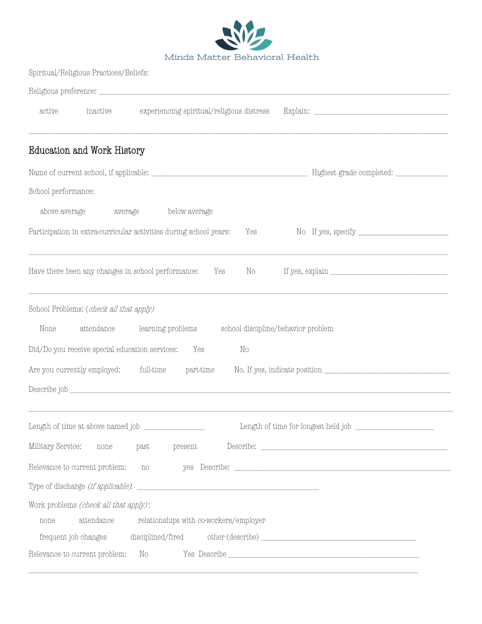

|        | Spiritual/Religious Practices/Beliefs: |                                           |          |  |
|--------|----------------------------------------|-------------------------------------------|----------|--|
|        |                                        | Religious preference:                     |          |  |
| active | inactive                               | experiencing spiritual/religious distress | Explain: |  |

## Education and Work History

| School performance:                                                               |                                                                                                                 |
|-----------------------------------------------------------------------------------|-----------------------------------------------------------------------------------------------------------------|
| above average<br>below average<br>average                                         |                                                                                                                 |
| Participation in extra-curricular activities during school years:<br>Yes          |                                                                                                                 |
| Have there been any changes in school performance:<br>Yes<br>$\rm No$             | If yes, $\verb explain_\_$                                                                                      |
| School Problems: (check all that apply)                                           |                                                                                                                 |
| attendance learning problems<br>None<br>school discipline/behavior problem        |                                                                                                                 |
| Did/Do you receive special education services:<br>Yes<br>No                       |                                                                                                                 |
| Are you currently employed: full-time<br>part-time                                |                                                                                                                 |
|                                                                                   |                                                                                                                 |
|                                                                                   |                                                                                                                 |
| Military Service: none past<br>present                                            |                                                                                                                 |
| Relevance to current problem: no yes Describe: __________________________________ |                                                                                                                 |
|                                                                                   |                                                                                                                 |
| Work problems (check all that apply):                                             |                                                                                                                 |
| attendance<br>relationships with co-workers/employer<br>none                      |                                                                                                                 |
| frequent job changes disciplined/fired other (describe) _________________________ |                                                                                                                 |
| Relevance to current problem:                                                     | the contract of the contract of the contract of the contract of the contract of the contract of the contract of |

\_\_\_\_\_\_\_\_\_\_\_\_\_\_\_\_\_\_\_\_\_\_\_\_\_\_\_\_\_\_\_\_\_\_\_\_\_\_\_\_\_\_\_\_\_\_\_\_\_\_\_\_\_\_\_\_\_\_\_\_\_\_\_\_\_\_\_\_\_\_\_\_\_\_\_\_\_\_\_\_\_\_\_\_\_\_\_\_\_\_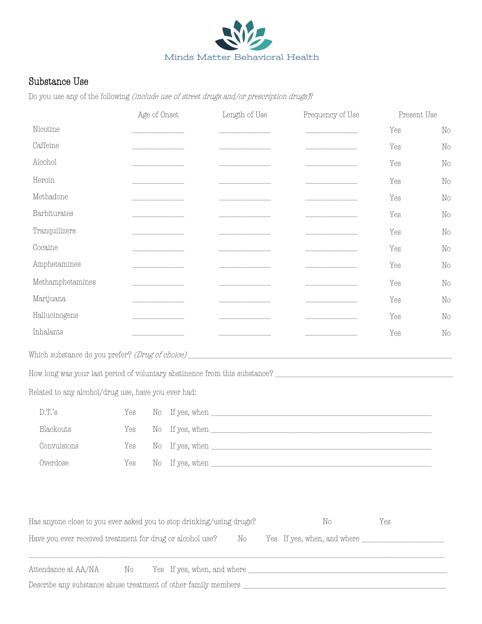

### Substance Use

Do you use any of the following (include use of street drugs and/or prescription drugs)?

|                                                                                                                | Age of Onset                                    | Length of Use                                                                     | Frequency of Use                                  | Present Use |          |
|----------------------------------------------------------------------------------------------------------------|-------------------------------------------------|-----------------------------------------------------------------------------------|---------------------------------------------------|-------------|----------|
| Nicotine                                                                                                       |                                                 |                                                                                   | <u> 1980 - Johann Barbara, martin a</u>           | Yes         | $\rm No$ |
| Caffeine                                                                                                       | <u> 1980 - Johann Barnett, fransk politik (</u> |                                                                                   |                                                   | Yes         | No       |
| Alcohol                                                                                                        |                                                 |                                                                                   | the control of the control of the control of      | Yes         | $\rm No$ |
| Heroin                                                                                                         | <u> 1990 - Johann Barnett, fransk konge</u>     |                                                                                   |                                                   | Yes         | $\rm No$ |
| Methadone                                                                                                      |                                                 | <u> 1980 - Johann Barbara, martx</u>                                              | <u> 1980 - Johann Barbara, martxa</u>             | Yes         | $\rm No$ |
| Barbiturates                                                                                                   |                                                 |                                                                                   |                                                   | Yes         | No       |
| Tranquilizers                                                                                                  |                                                 |                                                                                   | <u> 1989 - Johann Barbara, martin basa</u>        | Yes         | No       |
| Cocaine                                                                                                        |                                                 | the control of the control of the                                                 | the control of the control of the control of      | Yes         | $\rm No$ |
| Amphetamines                                                                                                   |                                                 |                                                                                   | <u> 1980 - Johann Barnett, fransk politiker (</u> | Yes         | $\rm No$ |
| Methamphetamines                                                                                               |                                                 | <u> 1999 - Johann Barnett, fransk politiker</u>                                   | <u> 1989 - Johann Barnett, fransk politiker (</u> | Yes         | $\rm No$ |
| Marijuana                                                                                                      |                                                 |                                                                                   |                                                   | Yes         | No       |
| Hallucinogens                                                                                                  |                                                 |                                                                                   |                                                   | Yes         | No       |
| Inhalants                                                                                                      |                                                 |                                                                                   |                                                   | Yes         | $\rm No$ |
|                                                                                                                |                                                 |                                                                                   |                                                   |             |          |
| How long was your last period of voluntary abstinence from this substance? ___________________________________ |                                                 |                                                                                   |                                                   |             |          |
| Related to any alcohol/drug use, have you ever had:                                                            |                                                 |                                                                                   |                                                   |             |          |
| D.T.'s<br>Yes                                                                                                  | No                                              | If yes, when $\_\_$                                                               |                                                   |             |          |
| Blackouts<br>Yes                                                                                               | $\rm No$                                        | If yes, when $\_\_$                                                               |                                                   |             |          |
| Convulsions<br>Yes                                                                                             | $\rm No$                                        | If yes, when $\frac{1}{\sqrt{1-\frac{1}{2}}\left(\frac{1}{2}-\frac{1}{2}\right)}$ |                                                   |             |          |
| Overdose                                                                                                       |                                                 |                                                                                   |                                                   |             |          |
|                                                                                                                |                                                 |                                                                                   |                                                   |             |          |
| Has anyone close to you ever asked you to stop drinking/using drugs?                                           |                                                 |                                                                                   | $\rm No$                                          | Yes         |          |

| Have you ever received treatment for drug or alcohol use? | Yes If yes, when, and where |  |
|-----------------------------------------------------------|-----------------------------|--|
|                                                           |                             |  |
|                                                           |                             |  |

Attendance at AA/NA No Yes If yes, when, and where \_\_\_\_\_\_\_\_\_\_\_\_\_\_\_\_\_\_\_\_\_\_\_\_\_\_\_\_\_\_\_\_\_\_\_\_\_\_\_\_\_\_\_\_\_\_ Describe any substance abuse treatment of other family members \_\_\_\_\_\_\_\_\_\_\_\_\_\_\_\_\_\_\_\_\_\_\_\_\_\_\_\_\_\_\_\_\_\_\_\_\_\_\_\_\_\_\_\_\_\_\_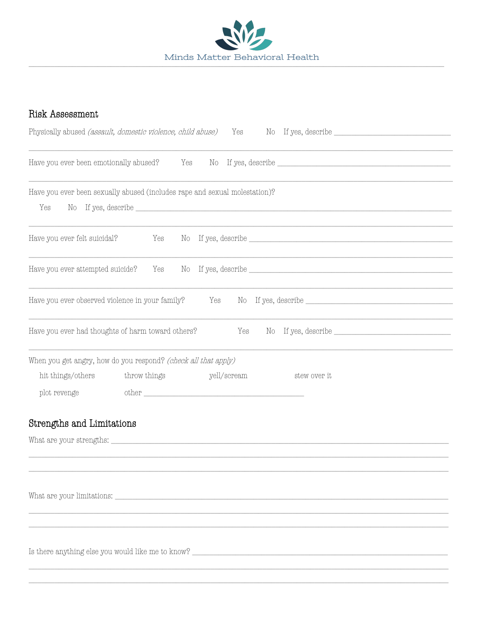

### Risk Assessment

| Physically abused (assault, domestic violence, child abuse)                       |              |     | Yes         |                                                                                                                           |
|-----------------------------------------------------------------------------------|--------------|-----|-------------|---------------------------------------------------------------------------------------------------------------------------|
|                                                                                   |              |     |             |                                                                                                                           |
| Have you ever been emotionally abused? Yes                                        |              |     |             |                                                                                                                           |
|                                                                                   |              |     |             |                                                                                                                           |
| Have you ever been sexually abused (includes rape and sexual molestation)?<br>Yes |              |     |             |                                                                                                                           |
|                                                                                   |              |     |             |                                                                                                                           |
| Have you ever felt suicidal?                                                      | Yes          |     |             |                                                                                                                           |
|                                                                                   |              |     |             |                                                                                                                           |
| Have you ever attempted suicide?                                                  |              |     |             |                                                                                                                           |
| Have you ever observed violence in your family?                                   |              | Yes |             | $\begin{minipage}{.4\linewidth} No & If yes, describe \begin{tabular}{l} \textbf{\textit{1}}\end{tabular} \end{minipage}$ |
|                                                                                   |              |     |             |                                                                                                                           |
| Have you ever had thoughts of harm toward others?                                 |              |     | Yes         |                                                                                                                           |
|                                                                                   |              |     |             |                                                                                                                           |
| When you get angry, how do you respond? (check all that apply)                    |              |     |             |                                                                                                                           |
| hit things/others                                                                 | throw things |     | yell/scream | stew over it                                                                                                              |
| plot revenge                                                                      |              |     |             |                                                                                                                           |
| Strengths and Limitations                                                         |              |     |             |                                                                                                                           |
|                                                                                   |              |     |             |                                                                                                                           |
|                                                                                   |              |     |             |                                                                                                                           |
|                                                                                   |              |     |             |                                                                                                                           |
|                                                                                   |              |     |             |                                                                                                                           |
|                                                                                   |              |     |             |                                                                                                                           |
|                                                                                   |              |     |             |                                                                                                                           |
|                                                                                   |              |     |             |                                                                                                                           |
|                                                                                   |              |     |             | Is there anything else you would like me to know?                                                                         |
|                                                                                   |              |     |             |                                                                                                                           |
|                                                                                   |              |     |             |                                                                                                                           |